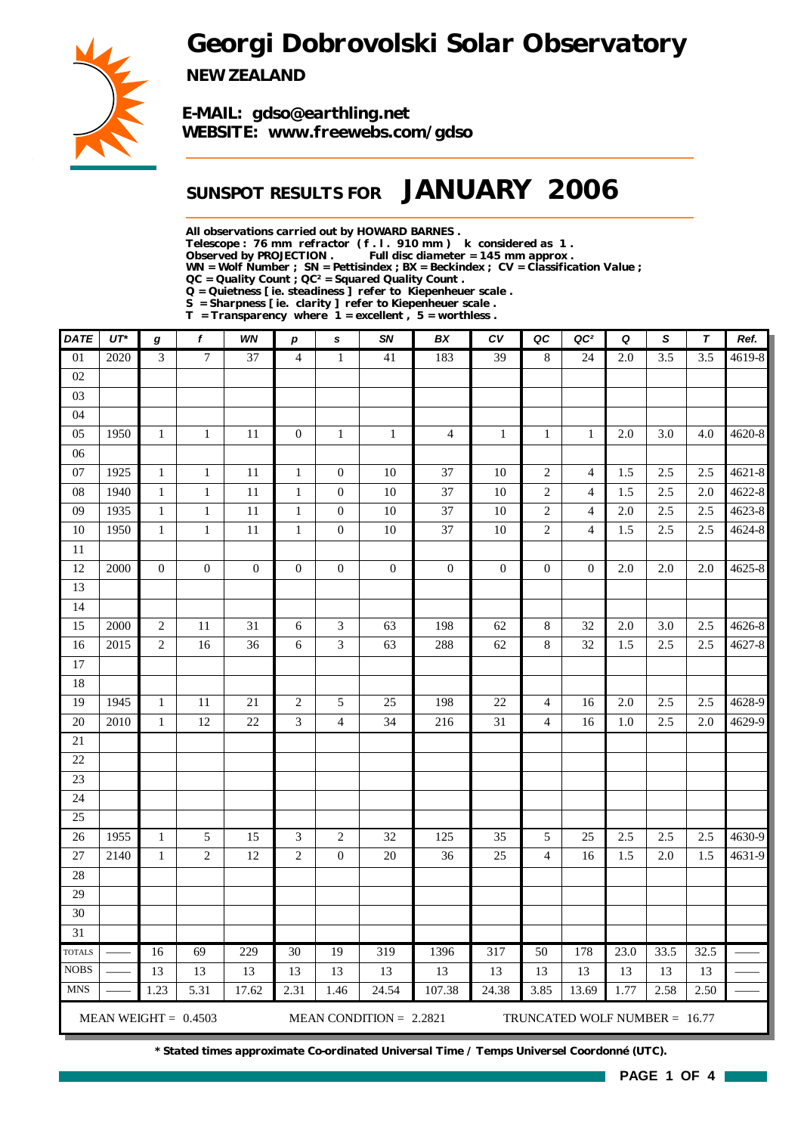## *Georgi Dobrovolski Solar Observatory*



*NEW ZEALAND*

*E-MAIL: gdso@earthling.net WEBSITE: www.freewebs.com/gdso*

## *SUNSPOT RESULTS FOR JANUARY 2006*

*All observations carried out by HOWARD BARNES .*

*Telescope : 76 mm refractor ( f . l . 910 mm ) k considered as 1 .*

Full disc diameter = 145 mm approx .

*WN = Wolf Number ; SN = Pettisindex ; BX = Beckindex ; CV = Classification Value ;*

*QC = Quality Count ; QC² = Squared Quality Count .*

*Q = Quietness [ ie. steadiness ] refer to Kiepenheuer scale .*

*S = Sharpness [ ie. clarity ] refer to Kiepenheuer scale . T = Transparency where 1 = excellent , 5 = worthless .*

| DATE                        | $UT^*$ | g                | $\mathbf{f}$           | WN               | $\boldsymbol{p}$ | s                | SN                        | BX               | ${\cal C}{\cal V}$ | QC               | QC <sup>2</sup>               | Q    | $\mathbf S$      | $\boldsymbol{\tau}$ | Ref.       |
|-----------------------------|--------|------------------|------------------------|------------------|------------------|------------------|---------------------------|------------------|--------------------|------------------|-------------------------------|------|------------------|---------------------|------------|
| 01                          | 2020   | 3                | $\tau$                 | $\overline{37}$  | $\overline{4}$   | $\mathbf{1}$     | 41                        | 183              | $\overline{39}$    | 8                | 24                            | 2.0  | $\overline{3.5}$ | $\overline{3.5}$    | 4619-8     |
| 02                          |        |                  |                        |                  |                  |                  |                           |                  |                    |                  |                               |      |                  |                     |            |
| 03                          |        |                  |                        |                  |                  |                  |                           |                  |                    |                  |                               |      |                  |                     |            |
| 04                          |        |                  |                        |                  |                  |                  |                           |                  |                    |                  |                               |      |                  |                     |            |
| 05                          | 1950   | 1                | $\mathbf{1}$           | 11               | $\boldsymbol{0}$ | $\mathbf{1}$     | $\mathbf{1}$              | $\overline{4}$   | $\mathbf{1}$       | $\mathbf{1}$     | $\mathbf{1}$                  | 2.0  | 3.0              | 4.0                 | 4620-8     |
| 06                          |        |                  |                        |                  |                  |                  |                           |                  |                    |                  |                               |      |                  |                     |            |
| 07                          | 1925   | $\mathbf{1}$     | $\mathbf{1}$           | $11\,$           | $\mathbf{1}$     | $\boldsymbol{0}$ | $10\,$                    | 37               | 10                 | $\mathbf{2}$     | 4                             | 1.5  | 2.5              | 2.5                 | $4621 - 8$ |
| 08                          | 1940   | $\mathbf{1}$     | $\mathbf 1$            | $11\,$           | $\mathbf{1}$     | $\boldsymbol{0}$ | 10                        | 37               | $10\,$             | $\sqrt{2}$       | 4                             | 1.5  | 2.5              | 2.0                 | 4622-8     |
| 09                          | 1935   | $\mathbf{1}$     | $\mathbf{1}$           | $11\,$           | $\mathbf{1}$     | $\mathbf{0}$     | 10                        | 37               | $10\,$             | $\overline{c}$   | $\overline{4}$                | 2.0  | 2.5              | 2.5                 | 4623-8     |
| 10                          | 1950   | $\mathbf{1}$     | $\mathbf{1}$           | 11               | $\mathbf{1}$     | $\boldsymbol{0}$ | 10                        | 37               | $10\,$             | $\sqrt{2}$       | 4                             | 1.5  | 2.5              | 2.5                 | 4624-8     |
| $11\,$                      |        |                  |                        |                  |                  |                  |                           |                  |                    |                  |                               |      |                  |                     |            |
| 12                          | 2000   | $\boldsymbol{0}$ | $\boldsymbol{0}$       | $\boldsymbol{0}$ | $\boldsymbol{0}$ | $\mathbf{0}$     | $\boldsymbol{0}$          | $\boldsymbol{0}$ | $\boldsymbol{0}$   | $\boldsymbol{0}$ | $\mathbf{0}$                  | 2.0  | $2.0\,$          | 2.0                 | 4625-8     |
| 13                          |        |                  |                        |                  |                  |                  |                           |                  |                    |                  |                               |      |                  |                     |            |
| 14                          |        |                  |                        |                  |                  |                  |                           |                  |                    |                  |                               |      |                  |                     |            |
| 15                          | 2000   | $\sqrt{2}$       | $11\,$                 | 31               | 6                | 3                | 63                        | 198              | 62                 | $8\,$            | 32                            | 2.0  | 3.0              | 2.5                 | 4626-8     |
| 16                          | 2015   | $\sqrt{2}$       | 16                     | 36               | $\sqrt{6}$       | 3                | 63                        | 288              | 62                 | $8\,$            | 32                            | 1.5  | 2.5              | 2.5                 | 4627-8     |
| 17                          |        |                  |                        |                  |                  |                  |                           |                  |                    |                  |                               |      |                  |                     |            |
| 18                          |        |                  |                        |                  |                  |                  |                           |                  |                    |                  |                               |      |                  |                     |            |
| 19                          | 1945   | $\mathbf{1}$     | 11                     | $21\,$           | $\overline{c}$   | 5                | $25\,$                    | 198              | $22\,$             | $\overline{4}$   | 16                            | 2.0  | 2.5              | 2.5                 | 4628-9     |
| 20                          | 2010   | $\mathbf{1}$     | 12                     | $22\,$           | 3                | $\overline{4}$   | 34                        | 216              | 31                 | 4                | 16                            | 1.0  | 2.5              | 2.0                 | 4629-9     |
| $21\,$                      |        |                  |                        |                  |                  |                  |                           |                  |                    |                  |                               |      |                  |                     |            |
| 22<br>23                    |        |                  |                        |                  |                  |                  |                           |                  |                    |                  |                               |      |                  |                     |            |
| 24                          |        |                  |                        |                  |                  |                  |                           |                  |                    |                  |                               |      |                  |                     |            |
| 25                          |        |                  |                        |                  |                  |                  |                           |                  |                    |                  |                               |      |                  |                     |            |
| 26                          | 1955   | $\mathbf{1}$     | 5                      | 15               | 3                | $\overline{c}$   | 32                        | 125              | 35                 | 5                | 25                            | 2.5  | 2.5              | 2.5                 | 4630-9     |
| 27                          | 2140   | $\mathbf{1}$     | $\sqrt{2}$             | $12\,$           | $\sqrt{2}$       | $\boldsymbol{0}$ | 20                        | 36               | 25                 | $\overline{4}$   | 16                            | 1.5  | $2.0\,$          | 1.5                 | 4631-9     |
| 28                          |        |                  |                        |                  |                  |                  |                           |                  |                    |                  |                               |      |                  |                     |            |
| 29                          |        |                  |                        |                  |                  |                  |                           |                  |                    |                  |                               |      |                  |                     |            |
| 30                          |        |                  |                        |                  |                  |                  |                           |                  |                    |                  |                               |      |                  |                     |            |
| $\overline{31}$             |        |                  |                        |                  |                  |                  |                           |                  |                    |                  |                               |      |                  |                     |            |
| <b>TOTALS</b>               |        | 16               | 69                     | 229              | 30               | 19               | 319                       | 1396             | 317                | 50               | 178                           | 23.0 | 33.5             | 32.5                |            |
| $\overline{\text{NO}}$ BS   |        | 13               | 13                     | 13               | 13               | 13               | 13                        | 13               | 13                 | 13               | 13                            | 13   | 13               | 13                  |            |
| $\ensuremath{\mathsf{MNS}}$ |        | 1.23             | 5.31                   | 17.62            | 2.31             | 1.46             | 24.54                     | 107.38           | 24.38              | 3.85             | 13.69                         | 1.77 | 2.58             | 2.50                |            |
|                             |        |                  | MEAN WEIGHT = $0.4503$ |                  |                  |                  | MEAN CONDITION = $2.2821$ |                  |                    |                  | TRUNCATED WOLF NUMBER = 16.77 |      |                  |                     |            |

*\* Stated times approximate Co-ordinated Universal Time / Temps Universel Coordonné (UTC).*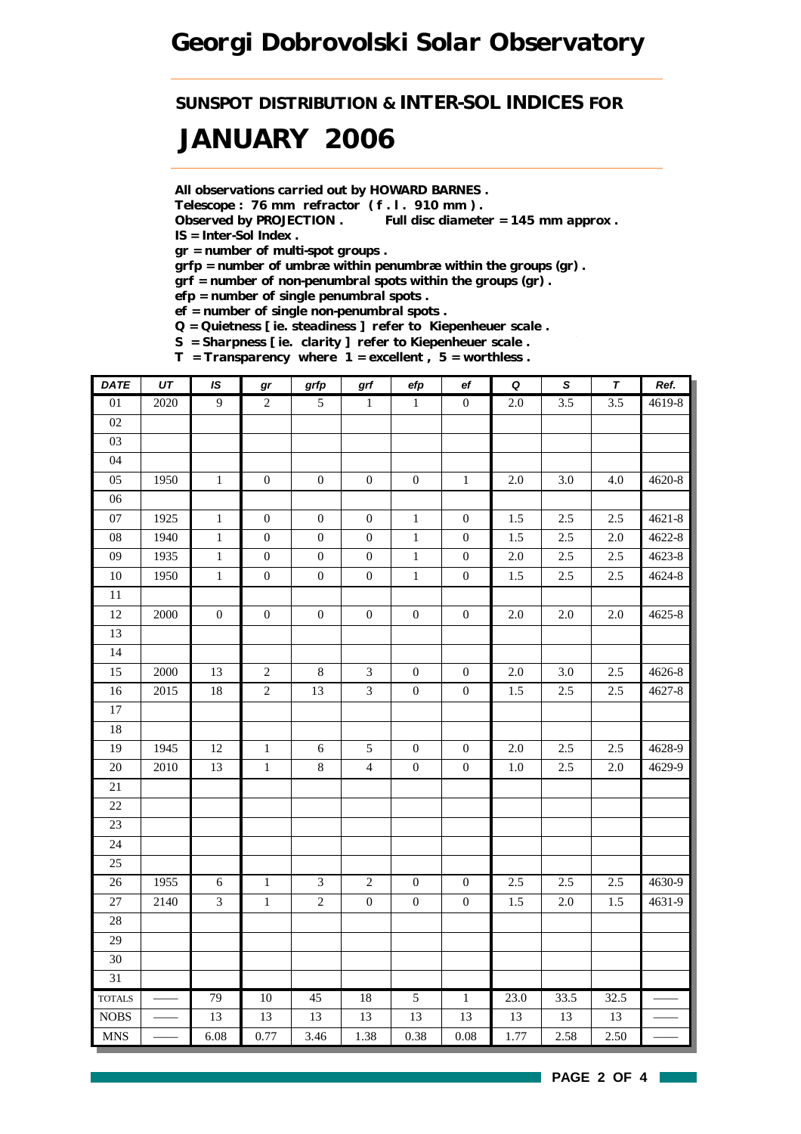*SUNSPOT DISTRIBUTION & INTER-SOL INDICES FOR*

# *JANUARY 2006*

*All observations carried out by HOWARD BARNES .*

*Telescope : 76 mm refractor ( f . l . 910 mm ) .*

*Observed by PROJECTION . Full disc diameter = 145 mm approx . IS = Inter-Sol Index .*

*gr = number of multi-spot groups .*

*grfp = number of umbræ within penumbræ within the groups (gr) .*

*grf = number of non-penumbral spots within the groups (gr) .*

*efp = number of single penumbral spots .*

*ef = number of single non-penumbral spots .*

*Q = Quietness [ ie. steadiness ] refer to Kiepenheuer scale .*

*S = Sharpness [ ie. clarity ] refer to Kiepenheuer scale . T = Transparency where 1 = excellent , 5 = worthless .*

| <b>DATE</b>                   | UT       | IS               | $\bm{gr}$        | grfp             | $\operatorname{\textsf{grf}}$ | efp              | ef               | $\pmb Q$         | $\pmb{\mathsf{s}}$ | $\overline{\tau}$ | Ref.       |
|-------------------------------|----------|------------------|------------------|------------------|-------------------------------|------------------|------------------|------------------|--------------------|-------------------|------------|
| $\overline{01}$               | 2020     | $\overline{9}$   | $\overline{2}$   | $\overline{5}$   | $1\,$                         | $\overline{1}$   | $\overline{0}$   | $\overline{2.0}$ | $\overline{3.5}$   | $\overline{3.5}$  | 4619-8     |
| 02                            |          |                  |                  |                  |                               |                  |                  |                  |                    |                   |            |
| 03                            |          |                  |                  |                  |                               |                  |                  |                  |                    |                   |            |
| 04                            |          |                  |                  |                  |                               |                  |                  |                  |                    |                   |            |
| 05                            | 1950     | $\,1$            | $\boldsymbol{0}$ | $\boldsymbol{0}$ | $\boldsymbol{0}$              | $\boldsymbol{0}$ | $1\,$            | $2.0\,$          | 3.0                | 4.0               | 4620-8     |
| 06                            |          |                  |                  |                  |                               |                  |                  |                  |                    |                   |            |
| $07\,$                        | 1925     | $\,1\,$          | $\boldsymbol{0}$ | $\boldsymbol{0}$ | $\boldsymbol{0}$              | $\,1\,$          | $\boldsymbol{0}$ | 1.5              | 2.5                | 2.5               | $4621 - 8$ |
| ${\bf 08}$                    | 1940     | $\,1$            | $\boldsymbol{0}$ | $\boldsymbol{0}$ | $\boldsymbol{0}$              | $\,1\,$          | $\mathbf{0}$     | 1.5              | 2.5                | $2.0\,$           | 4622-8     |
| 09                            | 1935     | $\,1$            | $\boldsymbol{0}$ | $\boldsymbol{0}$ | $\boldsymbol{0}$              | $\,1\,$          | $\boldsymbol{0}$ | 2.0              | 2.5                | 2.5               | 4623-8     |
| $10\,$                        | 1950     | $\,1$            | $\boldsymbol{0}$ | $\boldsymbol{0}$ | $\boldsymbol{0}$              | $\,1\,$          | $\boldsymbol{0}$ | 1.5              | 2.5                | 2.5               | 4624-8     |
| 11                            |          |                  |                  |                  |                               |                  |                  |                  |                    |                   |            |
| $12\,$                        | $2000\,$ | $\boldsymbol{0}$ | $\boldsymbol{0}$ | $\boldsymbol{0}$ | $\boldsymbol{0}$              | $\boldsymbol{0}$ | $\boldsymbol{0}$ | $2.0\,$          | 2.0                | $2.0\,$           | 4625-8     |
| 13                            |          |                  |                  |                  |                               |                  |                  |                  |                    |                   |            |
| 14                            |          |                  |                  |                  |                               |                  |                  |                  |                    |                   |            |
| 15                            | 2000     | 13               | $\sqrt{2}$       | $\,8\,$          | $\mathfrak{Z}$                | $\boldsymbol{0}$ | $\boldsymbol{0}$ | 2.0              | 3.0                | 2.5               | 4626-8     |
| $16\,$                        | 2015     | $18\,$           | $\overline{2}$   | 13               | $\mathfrak{Z}$                | $\boldsymbol{0}$ | $\boldsymbol{0}$ | 1.5              | $2.5\,$            | $2.5\,$           | 4627-8     |
| $17\,$                        |          |                  |                  |                  |                               |                  |                  |                  |                    |                   |            |
| 18                            |          |                  |                  |                  |                               |                  |                  |                  |                    |                   |            |
| 19                            | 1945     | $12\,$           | $\mathbf{1}$     | 6                | $\sqrt{5}$                    | $\boldsymbol{0}$ | $\boldsymbol{0}$ | $2.0\,$          | 2.5                | 2.5               | 4628-9     |
| $20\,$                        | 2010     | 13               | $\,1\,$          | $\,8\,$          | $\overline{4}$                | $\boldsymbol{0}$ | $\boldsymbol{0}$ | $1.0\,$          | 2.5                | $2.0\,$           | 4629-9     |
| $21\,$                        |          |                  |                  |                  |                               |                  |                  |                  |                    |                   |            |
| $22\,$                        |          |                  |                  |                  |                               |                  |                  |                  |                    |                   |            |
| 23                            |          |                  |                  |                  |                               |                  |                  |                  |                    |                   |            |
| $24\,$                        |          |                  |                  |                  |                               |                  |                  |                  |                    |                   |            |
| 25                            |          |                  |                  |                  |                               |                  |                  |                  |                    |                   |            |
| $26\,$                        | 1955     | $\epsilon$       | $\,1\,$          | $\mathfrak{Z}$   | $\sqrt{2}$                    | $\boldsymbol{0}$ | $\boldsymbol{0}$ | 2.5              | 2.5                | 2.5               | 4630-9     |
| $27\,$                        | 2140     | $\mathfrak{Z}$   | $\,1\,$          | $\overline{c}$   | $\boldsymbol{0}$              | $\boldsymbol{0}$ | $\boldsymbol{0}$ | 1.5              | $2.0\,$            | 1.5               | 4631-9     |
| $28\,$                        |          |                  |                  |                  |                               |                  |                  |                  |                    |                   |            |
| 29                            |          |                  |                  |                  |                               |                  |                  |                  |                    |                   |            |
| $30\,$                        |          |                  |                  |                  |                               |                  |                  |                  |                    |                   |            |
| 31                            |          |                  |                  |                  |                               |                  |                  |                  |                    |                   |            |
| <b>TOTALS</b>                 |          | 79               | 10               | 45               | 18                            | $\overline{5}$   | $\overline{1}$   | 23.0             | 33.5               | 32.5              |            |
| <b>NOBS</b>                   |          | 13               | 13               | 13               | 13                            | 13               | 13               | 13               | 13                 | 13                |            |
| $\operatorname{\mathbf{MNS}}$ |          | 6.08             | 0.77             | 3.46             | 1.38                          | 0.38             | $0.08\,$         | 1.77             | 2.58               | 2.50              |            |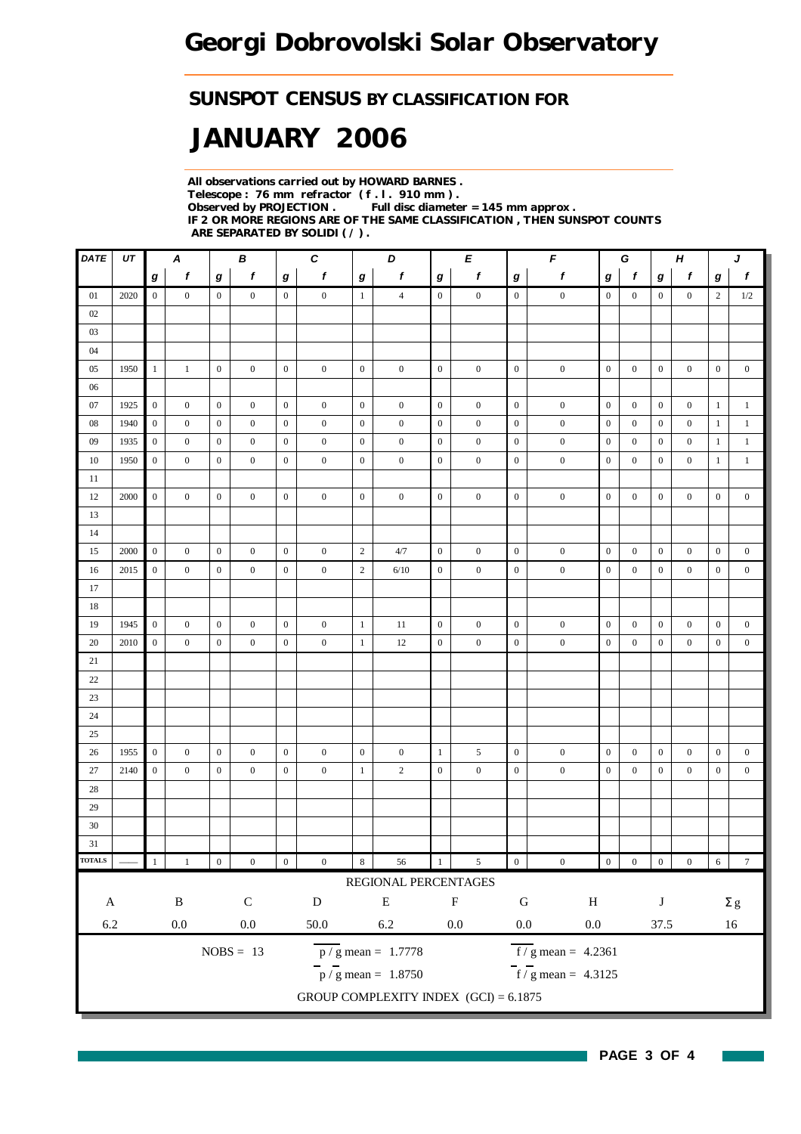### *SUNSPOT CENSUS BY CLASSIFICATION FOR*

# *JANUARY 2006*

*All observations carried out by HOWARD BARNES . Telescope : 76 mm refractor ( f . l . 910 mm ) . Full disc diameter = 145 mm approx . IF 2 OR MORE REGIONS ARE OF THE SAME CLASSIFICATION , THEN SUNSPOT COUNTS ARE SEPARATED BY SOLIDI ( / ) .*

| DATE                      | UT   | A<br>В           |                  |                  |                  | C                |                  | D                |                                         | E                | F<br>G           |                  |                                           |                  | H<br>J           |                  |                  |                  |                  |
|---------------------------|------|------------------|------------------|------------------|------------------|------------------|------------------|------------------|-----------------------------------------|------------------|------------------|------------------|-------------------------------------------|------------------|------------------|------------------|------------------|------------------|------------------|
|                           |      | $\bm{g}$         | f                | g                | $\pmb{f}$        | $\bm{g}$         | $\boldsymbol{f}$ | $\bm{g}$         | f                                       | $\bm{g}$         | f                | g                | $\boldsymbol{f}$                          | g                | $\mathbf f$      | $\bm{g}$         | f                | g                | $\pmb{f}$        |
| 01                        | 2020 | $\overline{0}$   | $\mathbf{0}$     | $\mathbf{0}$     | $\overline{0}$   | $\overline{0}$   | $\boldsymbol{0}$ | $\mathbf{1}$     | $\overline{4}$                          | $\overline{0}$   | $\mathbf{0}$     | $\mathbf{0}$     | $\boldsymbol{0}$                          | $\mathbf{0}$     | $\boldsymbol{0}$ | $\overline{0}$   | $\boldsymbol{0}$ | $\overline{c}$   | 1/2              |
| 02                        |      |                  |                  |                  |                  |                  |                  |                  |                                         |                  |                  |                  |                                           |                  |                  |                  |                  |                  |                  |
| 03                        |      |                  |                  |                  |                  |                  |                  |                  |                                         |                  |                  |                  |                                           |                  |                  |                  |                  |                  |                  |
| 04                        |      |                  |                  |                  |                  |                  |                  |                  |                                         |                  |                  |                  |                                           |                  |                  |                  |                  |                  |                  |
| 05                        | 1950 | $\mathbf{1}$     | $\,1$            | $\boldsymbol{0}$ | $\mathbf{0}$     | $\mathbf{0}$     | $\boldsymbol{0}$ | $\mathbf{0}$     | $\mathbf{0}$                            | $\mathbf{0}$     | $\mathbf{0}$     | $\mathbf{0}$     | $\boldsymbol{0}$                          | $\mathbf{0}$     | $\mathbf{0}$     | $\mathbf{0}$     | $\mathbf{0}$     | $\boldsymbol{0}$ | $\mathbf{0}$     |
| 06                        |      |                  |                  |                  |                  |                  |                  |                  |                                         |                  |                  |                  |                                           |                  |                  |                  |                  |                  |                  |
| 07                        | 1925 | $\boldsymbol{0}$ | $\mathbf{0}$     | $\boldsymbol{0}$ | $\mathbf{0}$     | $\mathbf{0}$     | $\boldsymbol{0}$ | $\boldsymbol{0}$ | $\boldsymbol{0}$                        | $\mathbf{0}$     | $\mathbf{0}$     | $\boldsymbol{0}$ | $\boldsymbol{0}$                          | $\mathbf{0}$     | $\mathbf{0}$     | $\mathbf{0}$     | $\boldsymbol{0}$ | $\mathbf{1}$     | $\mathbf{1}$     |
| $08\,$                    | 1940 | $\boldsymbol{0}$ | $\boldsymbol{0}$ | $\mathbf{0}$     | $\mathbf{0}$     | $\mathbf{0}$     | $\boldsymbol{0}$ | $\mathbf{0}$     | $\boldsymbol{0}$                        | $\mathbf{0}$     | $\boldsymbol{0}$ | $\boldsymbol{0}$ | $\boldsymbol{0}$                          | $\boldsymbol{0}$ | $\boldsymbol{0}$ | $\boldsymbol{0}$ | $\boldsymbol{0}$ | $\mathbf{1}$     | $\mathbf{1}$     |
| 09                        | 1935 | $\mathbf{0}$     | $\boldsymbol{0}$ | $\mathbf{0}$     | $\mathbf{0}$     | $\mathbf{0}$     | $\boldsymbol{0}$ | $\boldsymbol{0}$ | $\boldsymbol{0}$                        | $\mathbf{0}$     | $\boldsymbol{0}$ | $\boldsymbol{0}$ | $\boldsymbol{0}$                          | $\boldsymbol{0}$ | $\boldsymbol{0}$ | $\mathbf{0}$     | $\boldsymbol{0}$ | 1                | $\mathbf{1}$     |
| 10                        | 1950 | $\boldsymbol{0}$ | $\mathbf{0}$     | $\mathbf{0}$     | $\overline{0}$   | $\mathbf{0}$     | $\mathbf{0}$     | $\mathbf{0}$     | $\boldsymbol{0}$                        | $\mathbf{0}$     | $\boldsymbol{0}$ | $\boldsymbol{0}$ | $\mathbf{0}$                              | $\overline{0}$   | $\boldsymbol{0}$ | $\mathbf{0}$     | $\mathbf{0}$     | $\mathbf{1}$     | $1\,$            |
| 11                        |      |                  |                  |                  |                  |                  |                  |                  |                                         |                  |                  |                  |                                           |                  |                  |                  |                  |                  |                  |
| 12                        | 2000 | $\overline{0}$   | $\mathbf{0}$     | $\mathbf{0}$     | $\mathbf{0}$     | $\mathbf{0}$     | $\boldsymbol{0}$ | $\mathbf{0}$     | $\boldsymbol{0}$                        | $\mathbf{0}$     | $\mathbf{0}$     | $\mathbf{0}$     | $\boldsymbol{0}$                          | $\overline{0}$   | $\mathbf{0}$     | $\mathbf{0}$     | $\mathbf{0}$     | $\boldsymbol{0}$ | $\boldsymbol{0}$ |
| 13                        |      |                  |                  |                  |                  |                  |                  |                  |                                         |                  |                  |                  |                                           |                  |                  |                  |                  |                  |                  |
| 14                        |      |                  |                  |                  |                  |                  |                  |                  |                                         |                  |                  |                  |                                           |                  |                  |                  |                  |                  |                  |
| 15                        | 2000 | $\boldsymbol{0}$ | $\boldsymbol{0}$ | $\mathbf{0}$     | $\boldsymbol{0}$ | $\boldsymbol{0}$ | $\boldsymbol{0}$ | $\overline{2}$   | 4/7                                     | $\mathbf{0}$     | $\boldsymbol{0}$ | $\boldsymbol{0}$ | $\boldsymbol{0}$                          | $\mathbf{0}$     | $\boldsymbol{0}$ | $\boldsymbol{0}$ | $\boldsymbol{0}$ | $\boldsymbol{0}$ | $\boldsymbol{0}$ |
| 16                        | 2015 | $\boldsymbol{0}$ | $\boldsymbol{0}$ | $\mathbf{0}$     | $\mathbf{0}$     | $\mathbf{0}$     | $\boldsymbol{0}$ | $\sqrt{2}$       | 6/10                                    | $\mathbf{0}$     | $\boldsymbol{0}$ | $\mathbf{0}$     | $\boldsymbol{0}$                          | $\boldsymbol{0}$ | $\boldsymbol{0}$ | $\overline{0}$   | $\boldsymbol{0}$ | $\boldsymbol{0}$ | $\mathbf{0}$     |
| 17                        |      |                  |                  |                  |                  |                  |                  |                  |                                         |                  |                  |                  |                                           |                  |                  |                  |                  |                  |                  |
| 18                        |      |                  |                  |                  |                  |                  |                  |                  |                                         |                  |                  |                  |                                           |                  |                  |                  |                  |                  |                  |
| 19                        | 1945 | $\mathbf{0}$     | $\boldsymbol{0}$ | $\mathbf{0}$     | $\boldsymbol{0}$ | $\mathbf{0}$     | $\boldsymbol{0}$ | 1                | 11                                      | $\boldsymbol{0}$ | $\boldsymbol{0}$ | $\mathbf{0}$     | $\boldsymbol{0}$                          | $\boldsymbol{0}$ | $\boldsymbol{0}$ | $\boldsymbol{0}$ | $\bf{0}$         | $\boldsymbol{0}$ | $\boldsymbol{0}$ |
| 20                        | 2010 | $\overline{0}$   | $\mathbf{0}$     | $\mathbf{0}$     | $\mathbf{0}$     | $\boldsymbol{0}$ | $\boldsymbol{0}$ | $\mathbf{1}$     | 12                                      | $\mathbf{0}$     | $\boldsymbol{0}$ | $\boldsymbol{0}$ | $\boldsymbol{0}$                          | $\boldsymbol{0}$ | $\mathbf{0}$     | $\boldsymbol{0}$ | $\boldsymbol{0}$ | $\boldsymbol{0}$ | $\boldsymbol{0}$ |
| 21                        |      |                  |                  |                  |                  |                  |                  |                  |                                         |                  |                  |                  |                                           |                  |                  |                  |                  |                  |                  |
| $22\,$                    |      |                  |                  |                  |                  |                  |                  |                  |                                         |                  |                  |                  |                                           |                  |                  |                  |                  |                  |                  |
| $23\,$                    |      |                  |                  |                  |                  |                  |                  |                  |                                         |                  |                  |                  |                                           |                  |                  |                  |                  |                  |                  |
| 24                        |      |                  |                  |                  |                  |                  |                  |                  |                                         |                  |                  |                  |                                           |                  |                  |                  |                  |                  |                  |
| 25                        |      |                  |                  |                  |                  |                  |                  |                  |                                         |                  |                  |                  |                                           |                  |                  |                  |                  |                  |                  |
| 26                        | 1955 | $\overline{0}$   | $\boldsymbol{0}$ | $\mathbf{0}$     | $\mathbf{0}$     | $\overline{0}$   | $\boldsymbol{0}$ | $\overline{0}$   | $\boldsymbol{0}$                        | $\mathbf{1}$     | 5                | $\boldsymbol{0}$ | $\boldsymbol{0}$                          | $\mathbf{0}$     | $\mathbf{0}$     | $\boldsymbol{0}$ | $\boldsymbol{0}$ | $\boldsymbol{0}$ | $\boldsymbol{0}$ |
| 27                        | 2140 | $\boldsymbol{0}$ | $\mathbf{0}$     | $\mathbf{0}$     | $\mathbf{0}$     | $\mathbf{0}$     | $\boldsymbol{0}$ | $\mathbf{1}$     | $\sqrt{2}$                              | $\mathbf{0}$     | $\boldsymbol{0}$ | $\boldsymbol{0}$ | $\boldsymbol{0}$                          | $\boldsymbol{0}$ | $\boldsymbol{0}$ | $\mathbf{0}$     | $\boldsymbol{0}$ | $\boldsymbol{0}$ | $\boldsymbol{0}$ |
| 28                        |      |                  |                  |                  |                  |                  |                  |                  |                                         |                  |                  |                  |                                           |                  |                  |                  |                  |                  |                  |
| 29                        |      |                  |                  |                  |                  |                  |                  |                  |                                         |                  |                  |                  |                                           |                  |                  |                  |                  |                  |                  |
| 30                        |      |                  |                  |                  |                  |                  |                  |                  |                                         |                  |                  |                  |                                           |                  |                  |                  |                  |                  |                  |
| 31                        |      |                  |                  |                  |                  |                  |                  |                  |                                         |                  |                  |                  |                                           |                  |                  |                  |                  |                  |                  |
| <b>TOTALS</b>             |      |                  | $\,1$            | $\boldsymbol{0}$ | $\boldsymbol{0}$ | $\boldsymbol{0}$ | $\boldsymbol{0}$ | $\bf 8$          | $56\,$                                  | 1                | $\mathfrak s$    | $\boldsymbol{0}$ | $\boldsymbol{0}$                          | $\boldsymbol{0}$ | $\boldsymbol{0}$ | $\boldsymbol{0}$ | $\boldsymbol{0}$ | $6\overline{6}$  | $\boldsymbol{7}$ |
|                           |      |                  |                  |                  |                  |                  |                  |                  | REGIONAL PERCENTAGES                    |                  |                  |                  |                                           |                  |                  |                  |                  |                  |                  |
| $\boldsymbol{\mathsf{A}}$ |      |                  | $\, {\bf B}$     |                  | $\mathsf C$      |                  | ${\bf D}$        |                  | ${\bf E}$                               |                  | $\mathbf F$      | ${\bf G}$        | $\, {\rm H}$                              |                  |                  | $\bf J$          |                  |                  | $\Sigma$ g       |
| 6.2                       |      |                  | $0.0\,$          |                  | $0.0\,$          |                  | $50.0\,$         |                  | $6.2\,$                                 |                  | $0.0\,$          | $0.0\,$          | $0.0\,$                                   |                  |                  | 37.5             |                  |                  | 16               |
|                           |      |                  |                  |                  | $NOBS = 13$      |                  |                  |                  | $\overline{p}/g$ mean = 1.7778          |                  |                  |                  | $\overline{f}/\overline{g}$ mean = 4.2361 |                  |                  |                  |                  |                  |                  |
|                           |      |                  |                  |                  |                  |                  |                  |                  |                                         |                  |                  |                  |                                           |                  |                  |                  |                  |                  |                  |
|                           |      |                  |                  |                  |                  |                  |                  |                  | $\frac{1}{p}$ / g mean = 1.8750         |                  |                  |                  | $\overline{f}$ / g mean = 4.3125          |                  |                  |                  |                  |                  |                  |
|                           |      |                  |                  |                  |                  |                  |                  |                  | GROUP COMPLEXITY INDEX $(GCI) = 6.1875$ |                  |                  |                  |                                           |                  |                  |                  |                  |                  |                  |